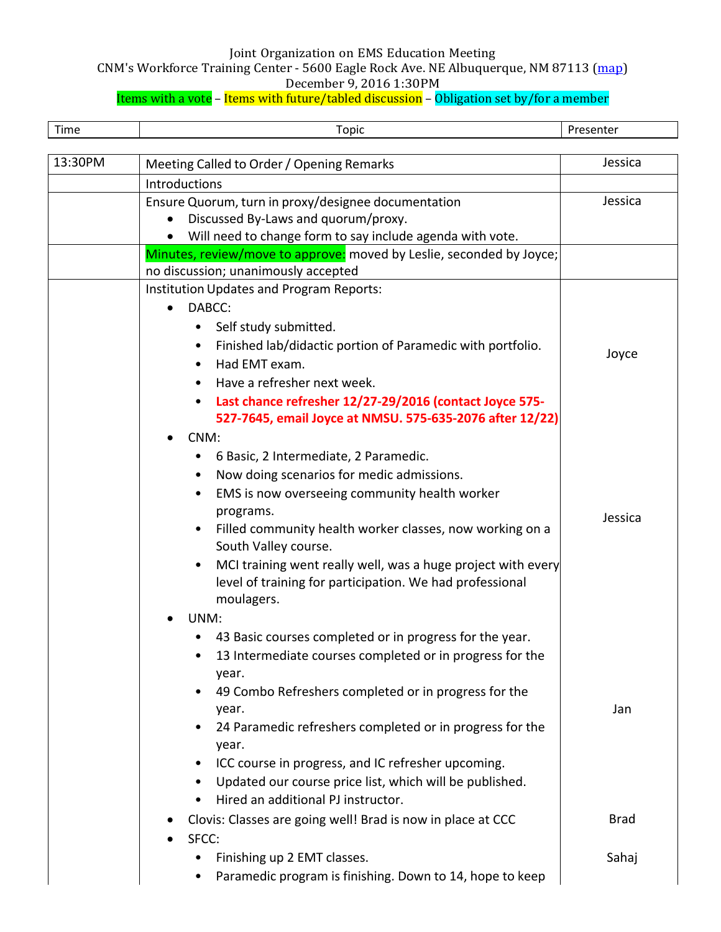CNM's Workforce Training Center - 5600 Eagle Rock Ave. NE Albuquerque, NM 87113 (map)

December 9, 2016 1:30PM

| Time    | <b>Topic</b>                                                                             | Presenter   |
|---------|------------------------------------------------------------------------------------------|-------------|
| 13:30PM | Meeting Called to Order / Opening Remarks                                                | Jessica     |
|         | Introductions                                                                            |             |
|         | Ensure Quorum, turn in proxy/designee documentation                                      | Jessica     |
|         | Discussed By-Laws and quorum/proxy.                                                      |             |
|         | Will need to change form to say include agenda with vote.                                |             |
|         | Minutes, review/move to approve: moved by Leslie, seconded by Joyce;                     |             |
|         | no discussion; unanimously accepted                                                      |             |
|         | Institution Updates and Program Reports:                                                 |             |
|         | DABCC:<br>$\bullet$                                                                      |             |
|         | Self study submitted.                                                                    |             |
|         | Finished lab/didactic portion of Paramedic with portfolio.<br>Had EMT exam.<br>$\bullet$ | Joyce       |
|         | Have a refresher next week.                                                              |             |
|         | Last chance refresher 12/27-29/2016 (contact Joyce 575-                                  |             |
|         | 527-7645, email Joyce at NMSU. 575-635-2076 after 12/22)                                 |             |
|         | CNM:                                                                                     |             |
|         | 6 Basic, 2 Intermediate, 2 Paramedic.<br>٠                                               |             |
|         | Now doing scenarios for medic admissions.<br>٠                                           |             |
|         | EMS is now overseeing community health worker                                            |             |
|         | programs.                                                                                | Jessica     |
|         | Filled community health worker classes, now working on a<br>South Valley course.         |             |
|         | MCI training went really well, was a huge project with every                             |             |
|         | level of training for participation. We had professional<br>moulagers.                   |             |
|         | UNM:                                                                                     |             |
|         | 43 Basic courses completed or in progress for the year.                                  |             |
|         | 13 Intermediate courses completed or in progress for the<br>year.                        |             |
|         | 49 Combo Refreshers completed or in progress for the                                     |             |
|         | year.                                                                                    | Jan         |
|         | 24 Paramedic refreshers completed or in progress for the<br>year.                        |             |
|         | ICC course in progress, and IC refresher upcoming.                                       |             |
|         | Updated our course price list, which will be published.<br>$\bullet$                     |             |
|         | Hired an additional PJ instructor.                                                       |             |
|         | Clovis: Classes are going well! Brad is now in place at CCC                              | <b>Brad</b> |
|         | SFCC:                                                                                    |             |
|         | Finishing up 2 EMT classes.                                                              | Sahaj       |
|         | Paramedic program is finishing. Down to 14, hope to keep                                 |             |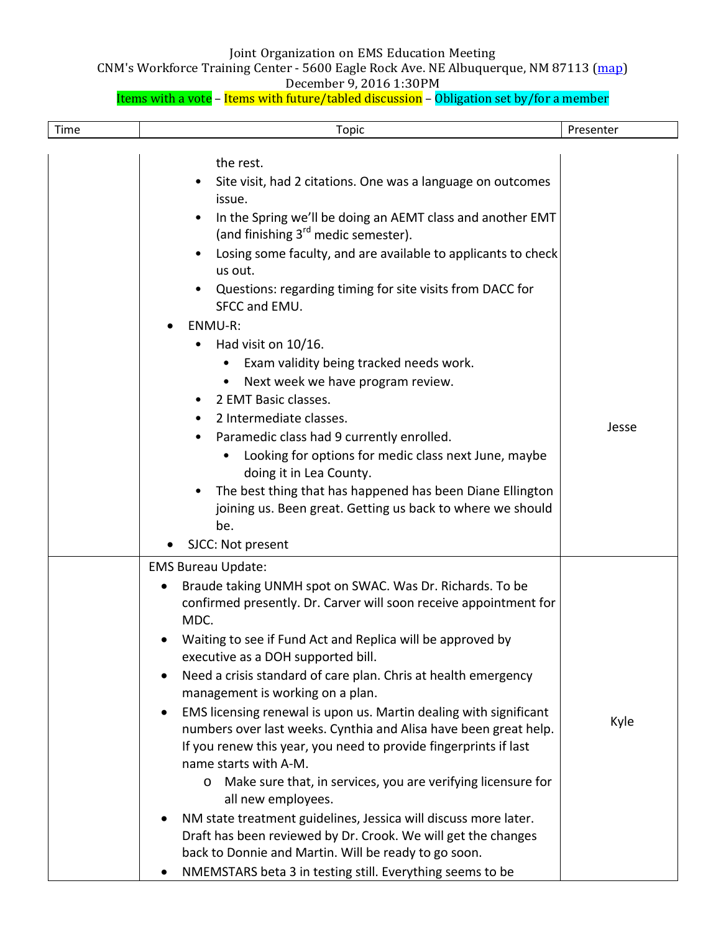CNM's Workforce Training Center - 5600 Eagle Rock Ave. NE Albuquerque, NM 87113 (map)

December 9, 2016 1:30PM

| Time | <b>Topic</b>                                                                                                                                                                                                                                                                                                                                                                                                                                                                                                                                                                                                                                                                                                                                                                                                                                                                                                                                                      | Presenter |
|------|-------------------------------------------------------------------------------------------------------------------------------------------------------------------------------------------------------------------------------------------------------------------------------------------------------------------------------------------------------------------------------------------------------------------------------------------------------------------------------------------------------------------------------------------------------------------------------------------------------------------------------------------------------------------------------------------------------------------------------------------------------------------------------------------------------------------------------------------------------------------------------------------------------------------------------------------------------------------|-----------|
|      | the rest.<br>Site visit, had 2 citations. One was a language on outcomes<br>issue.<br>In the Spring we'll be doing an AEMT class and another EMT<br>(and finishing 3 <sup>rd</sup> medic semester).<br>Losing some faculty, and are available to applicants to check<br>us out.<br>Questions: regarding timing for site visits from DACC for<br>SFCC and EMU.                                                                                                                                                                                                                                                                                                                                                                                                                                                                                                                                                                                                     |           |
|      | ENMU-R:<br>Had visit on 10/16.<br>Exam validity being tracked needs work.<br>Next week we have program review.<br>2 EMT Basic classes.<br>2 Intermediate classes.<br>Paramedic class had 9 currently enrolled.<br>Looking for options for medic class next June, maybe<br>doing it in Lea County.<br>The best thing that has happened has been Diane Ellington<br>joining us. Been great. Getting us back to where we should<br>be.<br>SJCC: Not present<br>$\bullet$                                                                                                                                                                                                                                                                                                                                                                                                                                                                                             | Jesse     |
|      | <b>EMS Bureau Update:</b><br>Braude taking UNMH spot on SWAC. Was Dr. Richards. To be<br>confirmed presently. Dr. Carver will soon receive appointment for<br>MDC.<br>Waiting to see if Fund Act and Replica will be approved by<br>executive as a DOH supported bill.<br>Need a crisis standard of care plan. Chris at health emergency<br>management is working on a plan.<br>EMS licensing renewal is upon us. Martin dealing with significant<br>numbers over last weeks. Cynthia and Alisa have been great help.<br>If you renew this year, you need to provide fingerprints if last<br>name starts with A-M.<br>Make sure that, in services, you are verifying licensure for<br>all new employees.<br>NM state treatment guidelines, Jessica will discuss more later.<br>Draft has been reviewed by Dr. Crook. We will get the changes<br>back to Donnie and Martin. Will be ready to go soon.<br>NMEMSTARS beta 3 in testing still. Everything seems to be | Kyle      |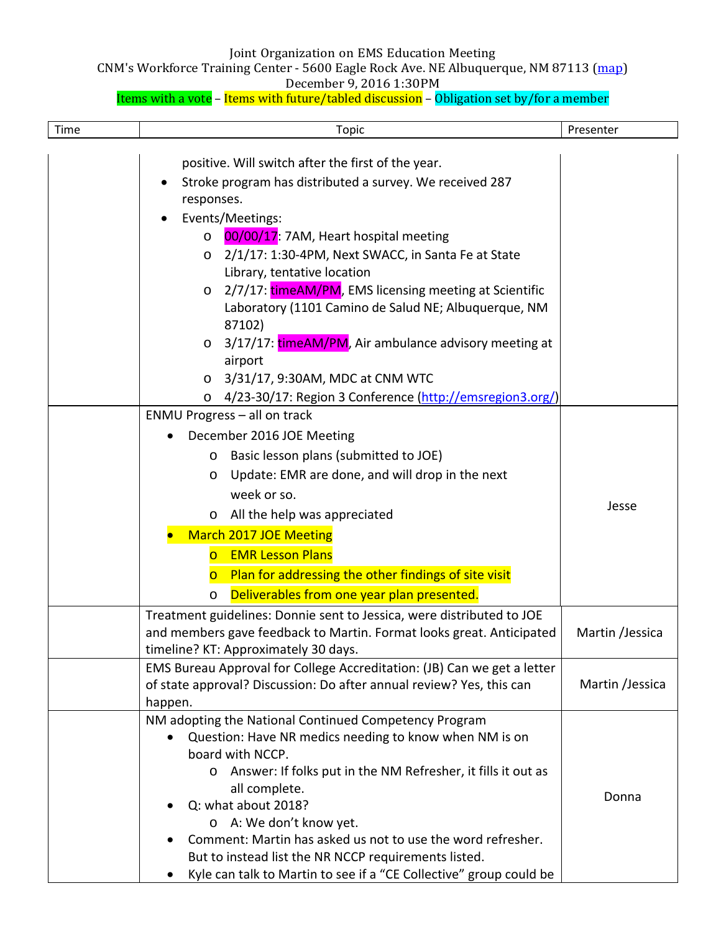CNM's Workforce Training Center - 5600 Eagle Rock Ave. NE Albuquerque, NM 87113 (map)

December 9, 2016 1:30PM

| Time | <b>Topic</b>                                                                                                                                                                                                                                                                                                                                                                                                                                                                                                                                                                                                                                    | Presenter                          |
|------|-------------------------------------------------------------------------------------------------------------------------------------------------------------------------------------------------------------------------------------------------------------------------------------------------------------------------------------------------------------------------------------------------------------------------------------------------------------------------------------------------------------------------------------------------------------------------------------------------------------------------------------------------|------------------------------------|
|      | positive. Will switch after the first of the year.<br>Stroke program has distributed a survey. We received 287<br>responses.<br>Events/Meetings:<br>00/00/17: 7AM, Heart hospital meeting<br>$\circ$<br>2/1/17: 1:30-4PM, Next SWACC, in Santa Fe at State<br>$\circ$<br>Library, tentative location<br>2/7/17: timeAM/PM, EMS licensing meeting at Scientific<br>$\circ$<br>Laboratory (1101 Camino de Salud NE; Albuquerque, NM<br>87102)<br>3/17/17: timeAM/PM, Air ambulance advisory meeting at<br>$\circ$<br>airport<br>3/31/17, 9:30AM, MDC at CNM WTC<br>$\circ$<br>4/23-30/17: Region 3 Conference (http://emsregion3.org/)<br>$\circ$ |                                    |
|      | <b>ENMU Progress - all on track</b><br>December 2016 JOE Meeting<br>Basic lesson plans (submitted to JOE)<br>$\circ$<br>Update: EMR are done, and will drop in the next<br>$\circ$<br>week or so.<br>$\circ$ All the help was appreciated<br><b>March 2017 JOE Meeting</b><br><b>EMR Lesson Plans</b><br>$\overline{O}$<br>Plan for addressing the other findings of site visit<br>$\overline{O}$<br>Deliverables from one year plan presented.<br>$\circ$                                                                                                                                                                                      | Jesse                              |
|      | Treatment guidelines: Donnie sent to Jessica, were distributed to JOE<br>and members gave feedback to Martin. Format looks great. Anticipated<br>timeline? KT: Approximately 30 days.<br>EMS Bureau Approval for College Accreditation: (JB) Can we get a letter<br>of state approval? Discussion: Do after annual review? Yes, this can                                                                                                                                                                                                                                                                                                        | Martin /Jessica<br>Martin /Jessica |
|      | happen.<br>NM adopting the National Continued Competency Program<br>Question: Have NR medics needing to know when NM is on<br>board with NCCP.<br>o Answer: If folks put in the NM Refresher, it fills it out as<br>all complete.<br>Q: what about 2018?<br>o A: We don't know yet.<br>Comment: Martin has asked us not to use the word refresher.<br>But to instead list the NR NCCP requirements listed.<br>Kyle can talk to Martin to see if a "CE Collective" group could be                                                                                                                                                                | Donna                              |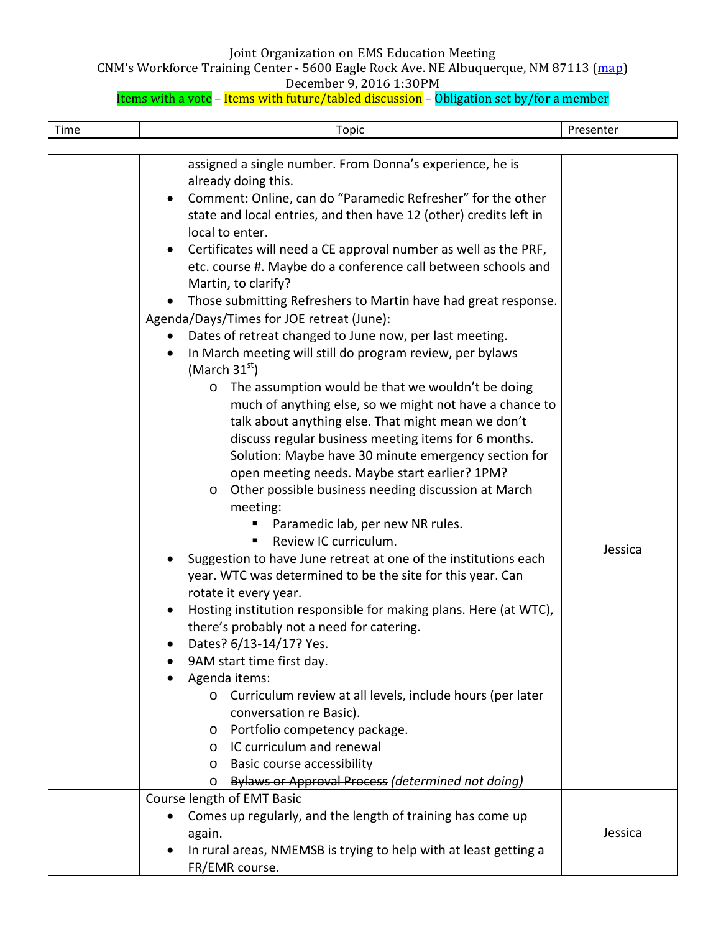CNM's Workforce Training Center - 5600 Eagle Rock Ave. NE Albuquerque, NM 87113 (map)

December 9, 2016 1:30PM

| Time | <b>Topic</b>                                                                                                                                                                                                                                                                                                                                                                                                                                                                                                                                                                                                                                                                                                                                                                                                                                                                                                                                                                                                                                                                                                                                                                                                                                                                                                                                                                                                                                                                                                                                                                                                                                                                                                                                                                                                    | Presenter |
|------|-----------------------------------------------------------------------------------------------------------------------------------------------------------------------------------------------------------------------------------------------------------------------------------------------------------------------------------------------------------------------------------------------------------------------------------------------------------------------------------------------------------------------------------------------------------------------------------------------------------------------------------------------------------------------------------------------------------------------------------------------------------------------------------------------------------------------------------------------------------------------------------------------------------------------------------------------------------------------------------------------------------------------------------------------------------------------------------------------------------------------------------------------------------------------------------------------------------------------------------------------------------------------------------------------------------------------------------------------------------------------------------------------------------------------------------------------------------------------------------------------------------------------------------------------------------------------------------------------------------------------------------------------------------------------------------------------------------------------------------------------------------------------------------------------------------------|-----------|
|      | assigned a single number. From Donna's experience, he is<br>already doing this.<br>Comment: Online, can do "Paramedic Refresher" for the other<br>state and local entries, and then have 12 (other) credits left in<br>local to enter.<br>Certificates will need a CE approval number as well as the PRF,<br>$\bullet$<br>etc. course #. Maybe do a conference call between schools and<br>Martin, to clarify?<br>Those submitting Refreshers to Martin have had great response.<br>Agenda/Days/Times for JOE retreat (June):<br>Dates of retreat changed to June now, per last meeting.<br>In March meeting will still do program review, per bylaws<br>(March $31st$ )<br>The assumption would be that we wouldn't be doing<br>$\circ$<br>much of anything else, so we might not have a chance to<br>talk about anything else. That might mean we don't<br>discuss regular business meeting items for 6 months.<br>Solution: Maybe have 30 minute emergency section for<br>open meeting needs. Maybe start earlier? 1PM?<br>Other possible business needing discussion at March<br>$\circ$<br>meeting:<br>Paramedic lab, per new NR rules.<br>Review IC curriculum.<br>٠<br>Suggestion to have June retreat at one of the institutions each<br>year. WTC was determined to be the site for this year. Can<br>rotate it every year.<br>Hosting institution responsible for making plans. Here (at WTC),<br>there's probably not a need for catering.<br>Dates? 6/13-14/17? Yes.<br>9AM start time first day.<br>Agenda items:<br>o Curriculum review at all levels, include hours (per later<br>conversation re Basic).<br>Portfolio competency package.<br>$\circ$<br>IC curriculum and renewal<br>$\circ$<br>Basic course accessibility<br>$\circ$<br>Bylaws or Approval Process (determined not doing)<br>O | Jessica   |
|      | Course length of EMT Basic<br>Comes up regularly, and the length of training has come up<br>again.<br>In rural areas, NMEMSB is trying to help with at least getting a<br>FR/EMR course.                                                                                                                                                                                                                                                                                                                                                                                                                                                                                                                                                                                                                                                                                                                                                                                                                                                                                                                                                                                                                                                                                                                                                                                                                                                                                                                                                                                                                                                                                                                                                                                                                        | Jessica   |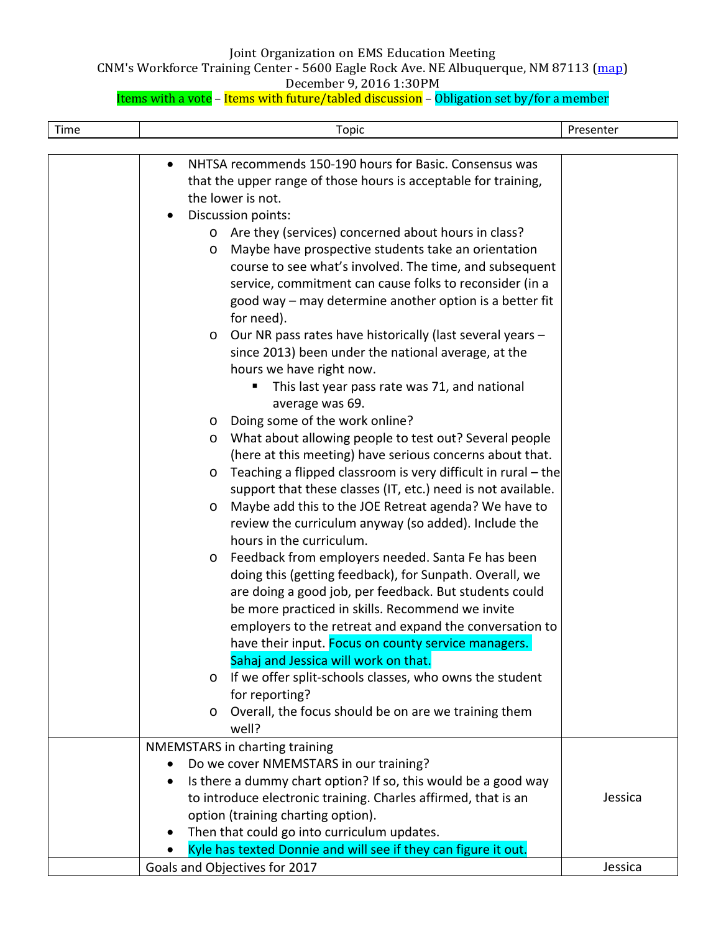CNM's Workforce Training Center - 5600 Eagle Rock Ave. NE Albuquerque, NM 87113 (map)

December 9, 2016 1:30PM

| Time | <b>Topic</b>                                                             | Presenter |
|------|--------------------------------------------------------------------------|-----------|
|      |                                                                          |           |
|      | NHTSA recommends 150-190 hours for Basic. Consensus was<br>$\bullet$     |           |
|      | that the upper range of those hours is acceptable for training,          |           |
|      | the lower is not.                                                        |           |
|      | Discussion points:                                                       |           |
|      | Are they (services) concerned about hours in class?<br>$\circ$           |           |
|      | Maybe have prospective students take an orientation<br>$\circ$           |           |
|      | course to see what's involved. The time, and subsequent                  |           |
|      | service, commitment can cause folks to reconsider (in a                  |           |
|      | good way - may determine another option is a better fit                  |           |
|      | for need).                                                               |           |
|      | Our NR pass rates have historically (last several years -<br>$\circ$     |           |
|      | since 2013) been under the national average, at the                      |           |
|      | hours we have right now.                                                 |           |
|      | This last year pass rate was 71, and national<br>Е                       |           |
|      | average was 69.                                                          |           |
|      | Doing some of the work online?<br>$\circ$                                |           |
|      | What about allowing people to test out? Several people<br>$\circ$        |           |
|      | (here at this meeting) have serious concerns about that.                 |           |
|      | Teaching a flipped classroom is very difficult in rural – the<br>$\circ$ |           |
|      | support that these classes (IT, etc.) need is not available.             |           |
|      | Maybe add this to the JOE Retreat agenda? We have to<br>$\circ$          |           |
|      | review the curriculum anyway (so added). Include the                     |           |
|      | hours in the curriculum.                                                 |           |
|      | Feedback from employers needed. Santa Fe has been<br>$\circ$             |           |
|      | doing this (getting feedback), for Sunpath. Overall, we                  |           |
|      | are doing a good job, per feedback. But students could                   |           |
|      | be more practiced in skills. Recommend we invite                         |           |
|      | employers to the retreat and expand the conversation to                  |           |
|      | have their input. Focus on county service managers.                      |           |
|      | Sahaj and Jessica will work on that.                                     |           |
|      | If we offer split-schools classes, who owns the student<br>$\circ$       |           |
|      | for reporting?                                                           |           |
|      | Overall, the focus should be on are we training them<br>$\circ$<br>well? |           |
|      | NMEMSTARS in charting training                                           |           |
|      | Do we cover NMEMSTARS in our training?                                   |           |
|      | Is there a dummy chart option? If so, this would be a good way           |           |
|      | to introduce electronic training. Charles affirmed, that is an           | Jessica   |
|      | option (training charting option).                                       |           |
|      | Then that could go into curriculum updates.                              |           |
|      | Kyle has texted Donnie and will see if they can figure it out.           |           |
|      | Goals and Objectives for 2017                                            | Jessica   |